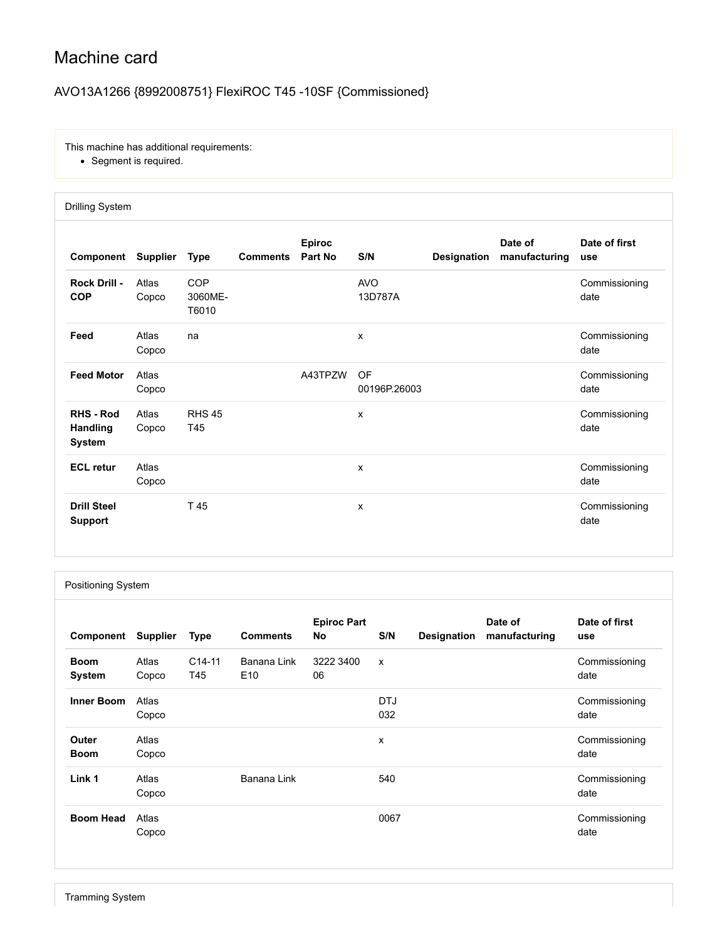# Machine card

## AVO13A1266 {8992008751} FlexiROC T45 -10SF {Commissioned}

This machine has additional requirements:

Segment is required.

|                                                      | <b>Drilling System</b> |                         |                 |                          |                       |                    |                          |                       |  |  |  |
|------------------------------------------------------|------------------------|-------------------------|-----------------|--------------------------|-----------------------|--------------------|--------------------------|-----------------------|--|--|--|
| Component                                            | <b>Supplier</b>        | <b>Type</b>             | <b>Comments</b> | <b>Epiroc</b><br>Part No | S/N                   | <b>Designation</b> | Date of<br>manufacturing | Date of first<br>use  |  |  |  |
| Rock Drill -<br><b>COP</b>                           | Atlas<br>Copco         | COP<br>3060ME-<br>T6010 |                 |                          | <b>AVO</b><br>13D787A |                    |                          | Commissioning<br>date |  |  |  |
| Feed                                                 | Atlas<br>Copco         | na                      |                 |                          | X                     |                    |                          | Commissioning<br>date |  |  |  |
| <b>Feed Motor</b>                                    | Atlas<br>Copco         |                         |                 | A43TPZW                  | OF<br>00196P.26003    |                    |                          | Commissioning<br>date |  |  |  |
| <b>RHS - Rod</b><br><b>Handling</b><br><b>System</b> | Atlas<br>Copco         | <b>RHS 45</b><br>T45    |                 |                          | X                     |                    |                          | Commissioning<br>date |  |  |  |
| <b>ECL</b> retur                                     | Atlas<br>Copco         |                         |                 |                          | X                     |                    |                          | Commissioning<br>date |  |  |  |
| <b>Drill Steel</b><br><b>Support</b>                 |                        | T 45                    |                 |                          | X                     |                    |                          | Commissioning<br>date |  |  |  |

#### Positioning System

| Component             | <b>Supplier</b> | <b>Type</b>                | <b>Comments</b>                | <b>Epiroc Part</b><br><b>No</b> | S/N               | Designation | Date of<br>manufacturing | Date of first<br>use  |
|-----------------------|-----------------|----------------------------|--------------------------------|---------------------------------|-------------------|-------------|--------------------------|-----------------------|
| <b>Boom</b><br>System | Atlas<br>Copco  | C <sub>14</sub> -11<br>T45 | Banana Link<br>E <sub>10</sub> | 3222 3400<br>06                 | X                 |             |                          | Commissioning<br>date |
| <b>Inner Boom</b>     | Atlas<br>Copco  |                            |                                |                                 | <b>DTJ</b><br>032 |             |                          | Commissioning<br>date |
| Outer<br><b>Boom</b>  | Atlas<br>Copco  |                            |                                |                                 | X                 |             |                          | Commissioning<br>date |
| Link 1                | Atlas<br>Copco  |                            | Banana Link                    |                                 | 540               |             |                          | Commissioning<br>date |
| <b>Boom Head</b>      | Atlas<br>Copco  |                            |                                |                                 | 0067              |             |                          | Commissioning<br>date |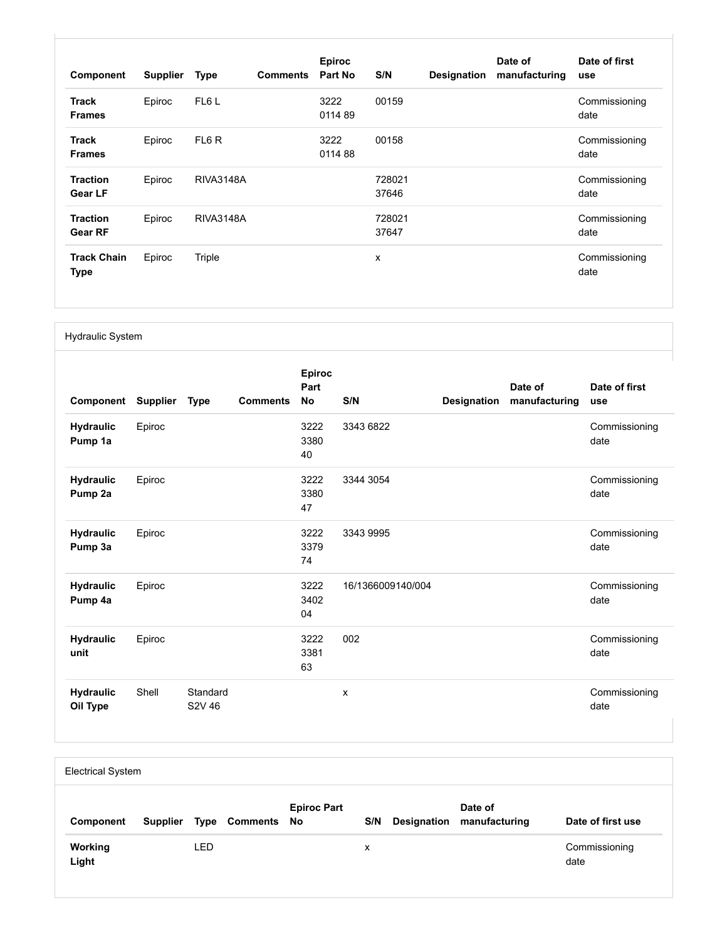| Component                         | <b>Supplier</b> | <b>Type</b>      | <b>Comments</b> | <b>Epiroc</b><br>Part No | S/N             | <b>Designation</b> | Date of<br>manufacturing | Date of first<br>use  |
|-----------------------------------|-----------------|------------------|-----------------|--------------------------|-----------------|--------------------|--------------------------|-----------------------|
| <b>Track</b><br><b>Frames</b>     | Epiroc          | FL6L             |                 | 3222<br>011489           | 00159           |                    |                          | Commissioning<br>date |
| <b>Track</b><br><b>Frames</b>     | Epiroc          | FL6R             |                 | 3222<br>011488           | 00158           |                    |                          | Commissioning<br>date |
| <b>Traction</b><br>Gear LF        | Epiroc          | <b>RIVA3148A</b> |                 |                          | 728021<br>37646 |                    |                          | Commissioning<br>date |
| <b>Traction</b><br>Gear RF        | Epiroc          | <b>RIVA3148A</b> |                 |                          | 728021<br>37647 |                    |                          | Commissioning<br>date |
| <b>Track Chain</b><br><b>Type</b> | Epiroc          | Triple           |                 |                          | X               |                    |                          | Commissioning<br>date |

#### Hydraulic System

| Component                    | <b>Supplier</b> | <b>Type</b>                                | <b>Comments</b> | <b>Epiroc</b><br>Part<br><b>No</b> | S/N               | Designation | Date of<br>manufacturing | Date of first<br>use  |
|------------------------------|-----------------|--------------------------------------------|-----------------|------------------------------------|-------------------|-------------|--------------------------|-----------------------|
| <b>Hydraulic</b><br>Pump 1a  | Epiroc          |                                            |                 | 3222<br>3380<br>40                 | 3343 6822         |             |                          | Commissioning<br>date |
| <b>Hydraulic</b><br>Pump 2a  | Epiroc          |                                            |                 | 3222<br>3380<br>47                 | 3344 3054         |             |                          | Commissioning<br>date |
| <b>Hydraulic</b><br>Pump 3a  | Epiroc          |                                            |                 | 3222<br>3379<br>74                 | 3343 9995         |             |                          | Commissioning<br>date |
| <b>Hydraulic</b><br>Pump 4a  | Epiroc          |                                            |                 | 3222<br>3402<br>04                 | 16/1366009140/004 |             |                          | Commissioning<br>date |
| <b>Hydraulic</b><br>unit     | Epiroc          |                                            |                 | 3222<br>3381<br>63                 | 002               |             |                          | Commissioning<br>date |
| <b>Hydraulic</b><br>Oil Type | Shell           | Standard<br>S <sub>2</sub> V <sub>46</sub> |                 |                                    | x                 |             |                          | Commissioning<br>date |

| <b>Electrical System</b> |          |            |                         |                    |     |             |                          |                       |  |
|--------------------------|----------|------------|-------------------------|--------------------|-----|-------------|--------------------------|-----------------------|--|
| Component                | Supplier |            | <b>Type Comments No</b> | <b>Epiroc Part</b> | S/N | Designation | Date of<br>manufacturing | Date of first use     |  |
| <b>Working</b><br>Light  |          | <b>LED</b> |                         |                    | x   |             |                          | Commissioning<br>date |  |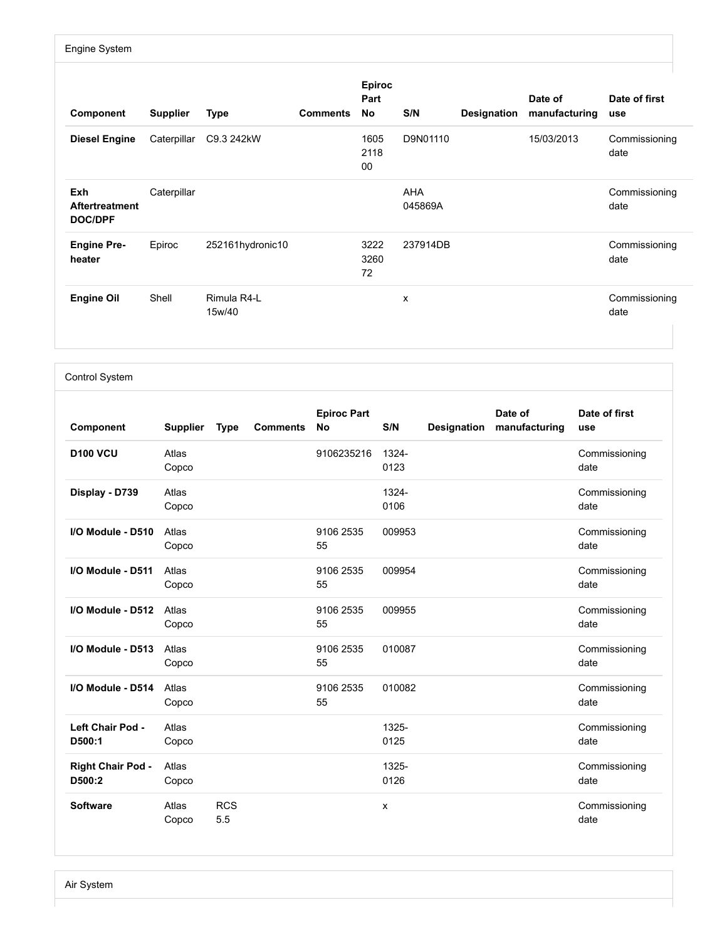### Engine System

| Component                                             | <b>Supplier</b> | <b>Type</b>           | <b>Comments</b> | <b>Epiroc</b><br>Part<br>No | S/N                   | Designation | Date of<br>manufacturing | Date of first<br>use  |
|-------------------------------------------------------|-----------------|-----------------------|-----------------|-----------------------------|-----------------------|-------------|--------------------------|-----------------------|
| <b>Diesel Engine</b>                                  | Caterpillar     | C9.3 242kW            |                 | 1605<br>2118<br>00          | D9N01110              |             | 15/03/2013               | Commissioning<br>date |
| <b>Exh</b><br><b>Aftertreatment</b><br><b>DOC/DPF</b> | Caterpillar     |                       |                 |                             | <b>AHA</b><br>045869A |             |                          | Commissioning<br>date |
| <b>Engine Pre-</b><br>heater                          | Epiroc          | 252161hydronic10      |                 | 3222<br>3260<br>72          | 237914DB              |             |                          | Commissioning<br>date |
| <b>Engine Oil</b>                                     | Shell           | Rimula R4-L<br>15w/40 |                 |                             | X                     |             |                          | Commissioning<br>date |

Control System

| Component                          | <b>Supplier</b> | <b>Type</b>       | <b>Comments</b> | <b>Epiroc Part</b><br><b>No</b> | S/N           | Designation | Date of<br>manufacturing | Date of first<br>use  |
|------------------------------------|-----------------|-------------------|-----------------|---------------------------------|---------------|-------------|--------------------------|-----------------------|
| <b>D100 VCU</b>                    | Atlas<br>Copco  |                   |                 | 9106235216                      | 1324-<br>0123 |             |                          | Commissioning<br>date |
| Display - D739                     | Atlas<br>Copco  |                   |                 |                                 | 1324-<br>0106 |             |                          | Commissioning<br>date |
| I/O Module - D510                  | Atlas<br>Copco  |                   |                 | 9106 2535<br>55                 | 009953        |             |                          | Commissioning<br>date |
| I/O Module - D511                  | Atlas<br>Copco  |                   |                 | 9106 2535<br>55                 | 009954        |             |                          | Commissioning<br>date |
| I/O Module - D512                  | Atlas<br>Copco  |                   |                 | 9106 2535<br>55                 | 009955        |             |                          | Commissioning<br>date |
| I/O Module - D513                  | Atlas<br>Copco  |                   |                 | 9106 2535<br>55                 | 010087        |             |                          | Commissioning<br>date |
| I/O Module - D514                  | Atlas<br>Copco  |                   |                 | 9106 2535<br>55                 | 010082        |             |                          | Commissioning<br>date |
| Left Chair Pod -<br>D500:1         | Atlas<br>Copco  |                   |                 |                                 | 1325-<br>0125 |             |                          | Commissioning<br>date |
| <b>Right Chair Pod -</b><br>D500:2 | Atlas<br>Copco  |                   |                 |                                 | 1325-<br>0126 |             |                          | Commissioning<br>date |
| <b>Software</b>                    | Atlas<br>Copco  | <b>RCS</b><br>5.5 |                 |                                 | x             |             |                          | Commissioning<br>date |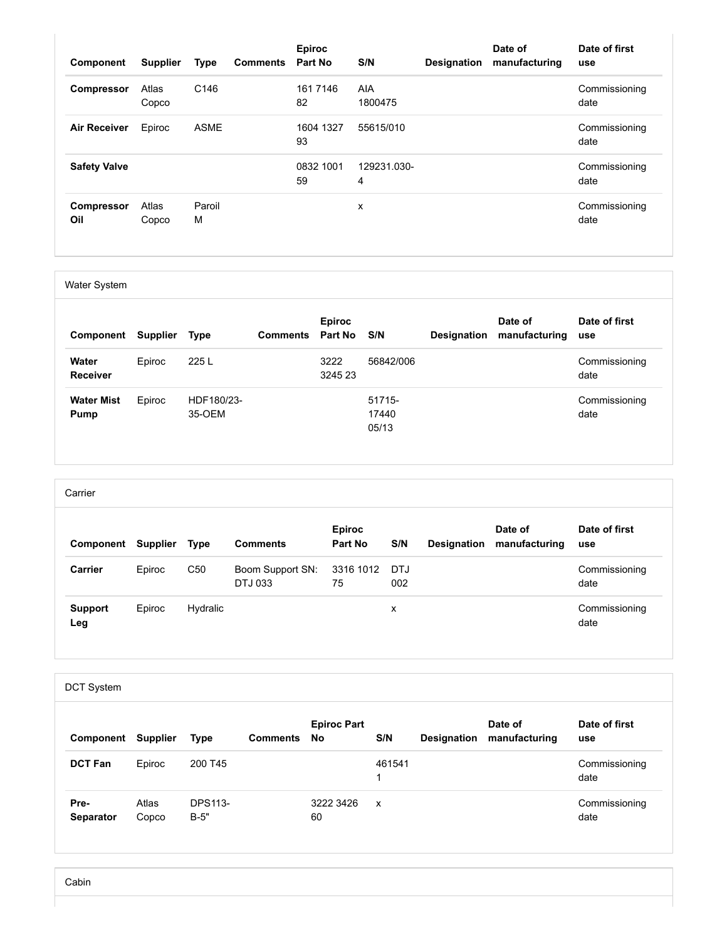| Component                | <b>Supplier</b> | Type             | <b>Comments</b> | <b>Epiroc</b><br>Part No | S/N              | <b>Designation</b> | Date of<br>manufacturing | Date of first<br>use  |
|--------------------------|-----------------|------------------|-----------------|--------------------------|------------------|--------------------|--------------------------|-----------------------|
| <b>Compressor</b>        | Atlas<br>Copco  | C <sub>146</sub> |                 | 161 7146<br>82           | AIA<br>1800475   |                    |                          | Commissioning<br>date |
| <b>Air Receiver</b>      | Epiroc          | <b>ASME</b>      |                 | 1604 1327<br>93          | 55615/010        |                    |                          | Commissioning<br>date |
| <b>Safety Valve</b>      |                 |                  |                 | 0832 1001<br>59          | 129231.030-<br>4 |                    |                          | Commissioning<br>date |
| <b>Compressor</b><br>Oil | Atlas<br>Copco  | Paroil<br>M      |                 |                          | x                |                    |                          | Commissioning<br>date |

Water System

| Component                | <b>Supplier</b> | <b>Type</b> | <b>Comments</b> | <b>Epiroc</b><br>Part No | S/N       | <b>Designation</b> | Date of<br>manufacturing | Date of first<br>use  |
|--------------------------|-----------------|-------------|-----------------|--------------------------|-----------|--------------------|--------------------------|-----------------------|
| Water<br><b>Receiver</b> | Epiroc          | 225 L       |                 | 3222<br>3245 23          | 56842/006 |                    |                          | Commissioning<br>date |
| <b>Water Mist</b>        | Epiroc          | HDF180/23-  |                 |                          | 51715-    |                    |                          | Commissioning         |
| Pump                     |                 | 35-OEM      |                 |                          | 17440     |                    |                          | date                  |
|                          |                 |             |                 |                          | 05/13     |                    |                          |                       |

| Carrier               |                 |                 |                             |                          |     |                    |                          |                       |  |  |
|-----------------------|-----------------|-----------------|-----------------------------|--------------------------|-----|--------------------|--------------------------|-----------------------|--|--|
| Component             | <b>Supplier</b> | <b>Type</b>     | <b>Comments</b>             | <b>Epiroc</b><br>Part No | S/N | <b>Designation</b> | Date of<br>manufacturing | Date of first<br>use  |  |  |
| Carrier               | Epiroc          | C <sub>50</sub> | Boom Support SN:<br>DTJ 033 | 3316 1012 DTJ<br>75      | 002 |                    |                          | Commissioning<br>date |  |  |
| <b>Support</b><br>Leg | Epiroc          | Hydralic        |                             |                          | х   |                    |                          | Commissioning<br>date |  |  |

| <b>DCT System</b> |                 |                          |                 |                          |              |             |                          |                       |  |  |
|-------------------|-----------------|--------------------------|-----------------|--------------------------|--------------|-------------|--------------------------|-----------------------|--|--|
| Component         | <b>Supplier</b> | <b>Type</b>              | <b>Comments</b> | <b>Epiroc Part</b><br>No | S/N          | Designation | Date of<br>manufacturing | Date of first<br>use  |  |  |
| <b>DCT Fan</b>    | Epiroc          | 200 T45                  |                 |                          | 461541       |             |                          | Commissioning<br>date |  |  |
| Pre-<br>Separator | Atlas<br>Copco  | <b>DPS113-</b><br>$B-5"$ |                 | 3222 3426<br>60          | $\mathbf{x}$ |             |                          | Commissioning<br>date |  |  |

Cabin